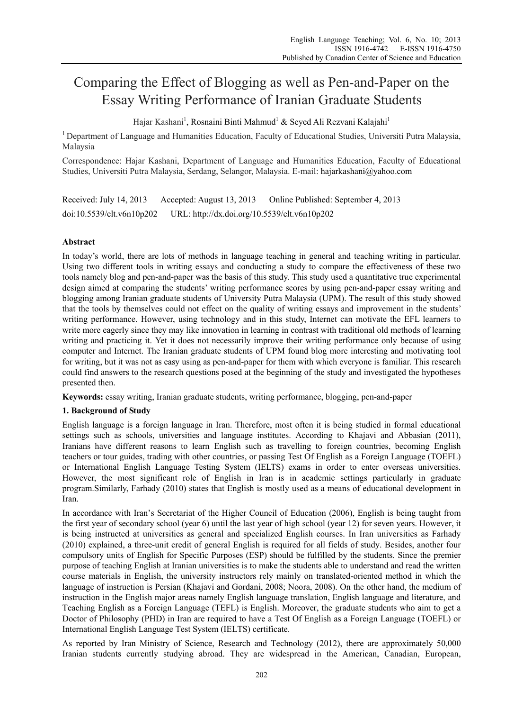# Comparing the Effect of Blogging as well as Pen-and-Paper on the Essay Writing Performance of Iranian Graduate Students

Hajar Kashani<sup>1</sup>, Rosnaini Binti Mahmud<sup>1</sup> & Seyed Ali Rezvani Kalajahi<sup>1</sup>

1 Department of Language and Humanities Education, Faculty of Educational Studies, Universiti Putra Malaysia, Malaysia

Correspondence: Hajar Kashani, Department of Language and Humanities Education, Faculty of Educational Studies, Universiti Putra Malaysia, Serdang, Selangor, Malaysia. E-mail: hajarkashani@yahoo.com

Received: July 14, 2013 Accepted: August 13, 2013 Online Published: September 4, 2013 doi:10.5539/elt.v6n10p202 URL: http://dx.doi.org/10.5539/elt.v6n10p202

# **Abstract**

In today's world, there are lots of methods in language teaching in general and teaching writing in particular. Using two different tools in writing essays and conducting a study to compare the effectiveness of these two tools namely blog and pen-and-paper was the basis of this study. This study used a quantitative true experimental design aimed at comparing the students' writing performance scores by using pen-and-paper essay writing and blogging among Iranian graduate students of University Putra Malaysia (UPM). The result of this study showed that the tools by themselves could not effect on the quality of writing essays and improvement in the students' writing performance. However, using technology and in this study, Internet can motivate the EFL learners to write more eagerly since they may like innovation in learning in contrast with traditional old methods of learning writing and practicing it. Yet it does not necessarily improve their writing performance only because of using computer and Internet. The Iranian graduate students of UPM found blog more interesting and motivating tool for writing, but it was not as easy using as pen-and-paper for them with which everyone is familiar. This research could find answers to the research questions posed at the beginning of the study and investigated the hypotheses presented then.

**Keywords:** essay writing, Iranian graduate students, writing performance, blogging, pen-and-paper

# **1. Background of Study**

English language is a foreign language in Iran. Therefore, most often it is being studied in formal educational settings such as schools, universities and language institutes. According to Khajavi and Abbasian (2011), Iranians have different reasons to learn English such as travelling to foreign countries, becoming English teachers or tour guides, trading with other countries, or passing Test Of English as a Foreign Language (TOEFL) or International English Language Testing System (IELTS) exams in order to enter overseas universities. However, the most significant role of English in Iran is in academic settings particularly in graduate program.Similarly, Farhady (2010) states that English is mostly used as a means of educational development in Iran.

In accordance with Iran's Secretariat of the Higher Council of Education (2006), English is being taught from the first year of secondary school (year 6) until the last year of high school (year 12) for seven years. However, it is being instructed at universities as general and specialized English courses. In Iran universities as Farhady (2010) explained, a three-unit credit of general English is required for all fields of study. Besides, another four compulsory units of English for Specific Purposes (ESP) should be fulfilled by the students. Since the premier purpose of teaching English at Iranian universities is to make the students able to understand and read the written course materials in English, the university instructors rely mainly on translated-oriented method in which the language of instruction is Persian (Khajavi and Gordani, 2008; Noora, 2008). On the other hand, the medium of instruction in the English major areas namely English language translation, English language and literature, and Teaching English as a Foreign Language (TEFL) is English. Moreover, the graduate students who aim to get a Doctor of Philosophy (PHD) in Iran are required to have a Test Of English as a Foreign Language (TOEFL) or International English Language Test System (IELTS) certificate.

As reported by Iran Ministry of Science, Research and Technology (2012), there are approximately 50,000 Iranian students currently studying abroad. They are widespread in the American, Canadian, European,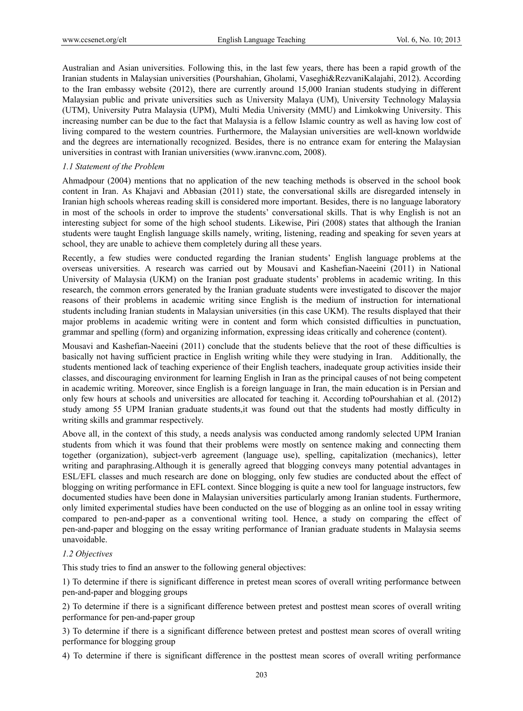Australian and Asian universities. Following this, in the last few years, there has been a rapid growth of the Iranian students in Malaysian universities (Pourshahian, Gholami, Vaseghi&RezvaniKalajahi, 2012). According to the Iran embassy website (2012), there are currently around 15,000 Iranian students studying in different Malaysian public and private universities such as University Malaya (UM), University Technology Malaysia (UTM), University Putra Malaysia (UPM), Multi Media University (MMU) and Limkokwing University. This increasing number can be due to the fact that Malaysia is a fellow Islamic country as well as having low cost of living compared to the western countries. Furthermore, the Malaysian universities are well-known worldwide and the degrees are internationally recognized. Besides, there is no entrance exam for entering the Malaysian universities in contrast with Iranian universities (www.iranvnc.com, 2008).

#### *1.1 Statement of the Problem*

Ahmadpour (2004) mentions that no application of the new teaching methods is observed in the school book content in Iran. As Khajavi and Abbasian (2011) state, the conversational skills are disregarded intensely in Iranian high schools whereas reading skill is considered more important. Besides, there is no language laboratory in most of the schools in order to improve the students' conversational skills. That is why English is not an interesting subject for some of the high school students. Likewise, Piri (2008) states that although the Iranian students were taught English language skills namely, writing, listening, reading and speaking for seven years at school, they are unable to achieve them completely during all these years.

Recently, a few studies were conducted regarding the Iranian students' English language problems at the overseas universities. A research was carried out by Mousavi and Kashefian-Naeeini (2011) in National University of Malaysia (UKM) on the Iranian post graduate students' problems in academic writing. In this research, the common errors generated by the Iranian graduate students were investigated to discover the major reasons of their problems in academic writing since English is the medium of instruction for international students including Iranian students in Malaysian universities (in this case UKM). The results displayed that their major problems in academic writing were in content and form which consisted difficulties in punctuation, grammar and spelling (form) and organizing information, expressing ideas critically and coherence (content).

Mousavi and Kashefian-Naeeini (2011) conclude that the students believe that the root of these difficulties is basically not having sufficient practice in English writing while they were studying in Iran. Additionally, the students mentioned lack of teaching experience of their English teachers, inadequate group activities inside their classes, and discouraging environment for learning English in Iran as the principal causes of not being competent in academic writing. Moreover, since English is a foreign language in Iran, the main education is in Persian and only few hours at schools and universities are allocated for teaching it. According toPourshahian et al. (2012) study among 55 UPM Iranian graduate students,it was found out that the students had mostly difficulty in writing skills and grammar respectively.

Above all, in the context of this study, a needs analysis was conducted among randomly selected UPM Iranian students from which it was found that their problems were mostly on sentence making and connecting them together (organization), subject-verb agreement (language use), spelling, capitalization (mechanics), letter writing and paraphrasing.Although it is generally agreed that blogging conveys many potential advantages in ESL/EFL classes and much research are done on blogging, only few studies are conducted about the effect of blogging on writing performance in EFL context. Since blogging is quite a new tool for language instructors, few documented studies have been done in Malaysian universities particularly among Iranian students. Furthermore, only limited experimental studies have been conducted on the use of blogging as an online tool in essay writing compared to pen-and-paper as a conventional writing tool. Hence, a study on comparing the effect of pen-and-paper and blogging on the essay writing performance of Iranian graduate students in Malaysia seems unavoidable.

# *1.2 Objectives*

This study tries to find an answer to the following general objectives:

1) To determine if there is significant difference in pretest mean scores of overall writing performance between pen-and-paper and blogging groups

2) To determine if there is a significant difference between pretest and posttest mean scores of overall writing performance for pen-and-paper group

3) To determine if there is a significant difference between pretest and posttest mean scores of overall writing performance for blogging group

4) To determine if there is significant difference in the posttest mean scores of overall writing performance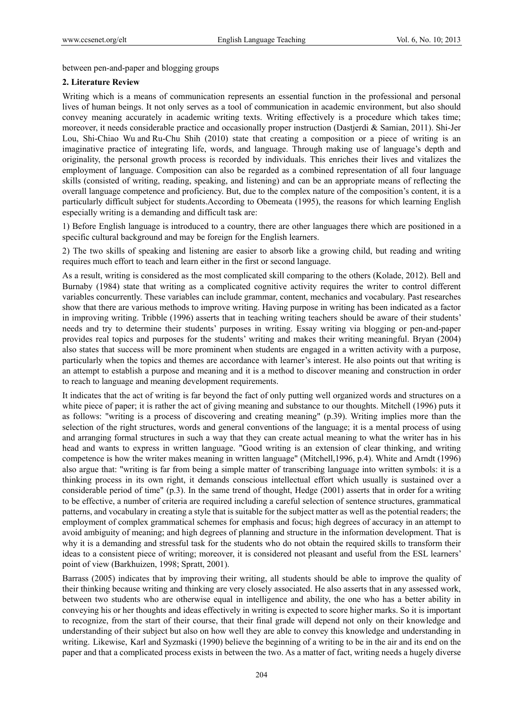between pen-and-paper and blogging groups

#### **2. Literature Review**

Writing which is a means of communication represents an essential function in the professional and personal lives of human beings. It not only serves as a tool of communication in academic environment, but also should convey meaning accurately in academic writing texts. Writing effectively is a procedure which takes time; moreover, it needs considerable practice and occasionally proper instruction (Dastjerdi & Samian, 2011). Shi-Jer Lou, Shi-Chiao Wu and Ru-Chu Shih (2010) state that creating a composition or a piece of writing is an imaginative practice of integrating life, words, and language. Through making use of language's depth and originality, the personal growth process is recorded by individuals. This enriches their lives and vitalizes the employment of language. Composition can also be regarded as a combined representation of all four language skills (consisted of writing, reading, speaking, and listening) and can be an appropriate means of reflecting the overall language competence and proficiency. But, due to the complex nature of the composition's content, it is a particularly difficult subject for students.According to Obemeata (1995), the reasons for which learning English especially writing is a demanding and difficult task are:

1) Before English language is introduced to a country, there are other languages there which are positioned in a specific cultural background and may be foreign for the English learners.

2) The two skills of speaking and listening are easier to absorb like a growing child, but reading and writing requires much effort to teach and learn either in the first or second language.

As a result, writing is considered as the most complicated skill comparing to the others (Kolade, 2012). Bell and Burnaby (1984) state that writing as a complicated cognitive activity requires the writer to control different variables concurrently. These variables can include grammar, content, mechanics and vocabulary. Past researches show that there are various methods to improve writing. Having purpose in writing has been indicated as a factor in improving writing. Tribble (1996) asserts that in teaching writing teachers should be aware of their students' needs and try to determine their students' purposes in writing. Essay writing via blogging or pen-and-paper provides real topics and purposes for the students' writing and makes their writing meaningful. Bryan (2004) also states that success will be more prominent when students are engaged in a written activity with a purpose, particularly when the topics and themes are accordance with learner's interest. He also points out that writing is an attempt to establish a purpose and meaning and it is a method to discover meaning and construction in order to reach to language and meaning development requirements.

It indicates that the act of writing is far beyond the fact of only putting well organized words and structures on a white piece of paper; it is rather the act of giving meaning and substance to our thoughts. Mitchell (1996) puts it as follows: "writing is a process of discovering and creating meaning" (p.39). Writing implies more than the selection of the right structures, words and general conventions of the language; it is a mental process of using and arranging formal structures in such a way that they can create actual meaning to what the writer has in his head and wants to express in written language. "Good writing is an extension of clear thinking, and writing competence is how the writer makes meaning in written language" (Mitchell,1996, p.4). White and Arndt (1996) also argue that: "writing is far from being a simple matter of transcribing language into written symbols: it is a thinking process in its own right, it demands conscious intellectual effort which usually is sustained over a considerable period of time" (p.3). In the same trend of thought, Hedge (2001) asserts that in order for a writing to be effective, a number of criteria are required including a careful selection of sentence structures, grammatical patterns, and vocabulary in creating a style that is suitable for the subject matter as well as the potential readers; the employment of complex grammatical schemes for emphasis and focus; high degrees of accuracy in an attempt to avoid ambiguity of meaning; and high degrees of planning and structure in the information development. That is why it is a demanding and stressful task for the students who do not obtain the required skills to transform their ideas to a consistent piece of writing; moreover, it is considered not pleasant and useful from the ESL learners' point of view (Barkhuizen, 1998; Spratt, 2001).

Barrass (2005) indicates that by improving their writing, all students should be able to improve the quality of their thinking because writing and thinking are very closely associated. He also asserts that in any assessed work, between two students who are otherwise equal in intelligence and ability, the one who has a better ability in conveying his or her thoughts and ideas effectively in writing is expected to score higher marks. So it is important to recognize, from the start of their course, that their final grade will depend not only on their knowledge and understanding of their subject but also on how well they are able to convey this knowledge and understanding in writing. Likewise, Karl and Syzmaski (1990) believe the beginning of a writing to be in the air and its end on the paper and that a complicated process exists in between the two. As a matter of fact, writing needs a hugely diverse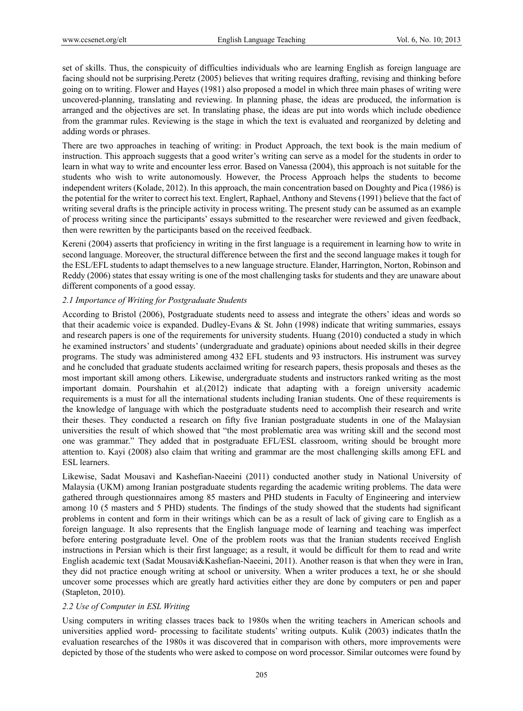set of skills. Thus, the conspicuity of difficulties individuals who are learning English as foreign language are facing should not be surprising.Peretz (2005) believes that writing requires drafting, revising and thinking before going on to writing. Flower and Hayes (1981) also proposed a model in which three main phases of writing were uncovered-planning, translating and reviewing. In planning phase, the ideas are produced, the information is arranged and the objectives are set. In translating phase, the ideas are put into words which include obedience from the grammar rules. Reviewing is the stage in which the text is evaluated and reorganized by deleting and adding words or phrases.

There are two approaches in teaching of writing: in Product Approach, the text book is the main medium of instruction. This approach suggests that a good writer's writing can serve as a model for the students in order to learn in what way to write and encounter less error. Based on Vanessa (2004), this approach is not suitable for the students who wish to write autonomously. However, the Process Approach helps the students to become independent writers (Kolade, 2012). In this approach, the main concentration based on Doughty and Pica (1986) is the potential for the writer to correct his text. Englert, Raphael, Anthony and Stevens (1991) believe that the fact of writing several drafts is the principle activity in process writing. The present study can be assumed as an example of process writing since the participants' essays submitted to the researcher were reviewed and given feedback, then were rewritten by the participants based on the received feedback.

Kereni (2004) asserts that proficiency in writing in the first language is a requirement in learning how to write in second language. Moreover, the structural difference between the first and the second language makes it tough for the ESL/EFL students to adapt themselves to a new language structure. Elander, Harrington, Norton, Robinson and Reddy (2006) states that essay writing is one of the most challenging tasks for students and they are unaware about different components of a good essay.

# *2.1 Importance of Writing for Postgraduate Students*

According to Bristol (2006), Postgraduate students need to assess and integrate the others' ideas and words so that their academic voice is expanded. Dudley-Evans & St. John (1998) indicate that writing summaries, essays and research papers is one of the requirements for university students. Huang (2010) conducted a study in which he examined instructors' and students' (undergraduate and graduate) opinions about needed skills in their degree programs. The study was administered among 432 EFL students and 93 instructors. His instrument was survey and he concluded that graduate students acclaimed writing for research papers, thesis proposals and theses as the most important skill among others. Likewise, undergraduate students and instructors ranked writing as the most important domain. Pourshahin et al.(2012) indicate that adapting with a foreign university academic requirements is a must for all the international students including Iranian students. One of these requirements is the knowledge of language with which the postgraduate students need to accomplish their research and write their theses. They conducted a research on fifty five Iranian postgraduate students in one of the Malaysian universities the result of which showed that "the most problematic area was writing skill and the second most one was grammar." They added that in postgraduate EFL/ESL classroom, writing should be brought more attention to. Kayi (2008) also claim that writing and grammar are the most challenging skills among EFL and ESL learners.

Likewise, Sadat Mousavi and Kashefian-Naeeini (2011) conducted another study in National University of Malaysia (UKM) among Iranian postgraduate students regarding the academic writing problems. The data were gathered through questionnaires among 85 masters and PHD students in Faculty of Engineering and interview among 10 (5 masters and 5 PHD) students. The findings of the study showed that the students had significant problems in content and form in their writings which can be as a result of lack of giving care to English as a foreign language. It also represents that the English language mode of learning and teaching was imperfect before entering postgraduate level. One of the problem roots was that the Iranian students received English instructions in Persian which is their first language; as a result, it would be difficult for them to read and write English academic text (Sadat Mousavi&Kashefian-Naeeini, 2011). Another reason is that when they were in Iran, they did not practice enough writing at school or university. When a writer produces a text, he or she should uncover some processes which are greatly hard activities either they are done by computers or pen and paper (Stapleton, 2010).

# *2.2 Use of Computer in ESL Writing*

Using computers in writing classes traces back to 1980s when the writing teachers in American schools and universities applied word- processing to facilitate students' writing outputs. Kulik (2003) indicates thatIn the evaluation researches of the 1980s it was discovered that in comparison with others, more improvements were depicted by those of the students who were asked to compose on word processor. Similar outcomes were found by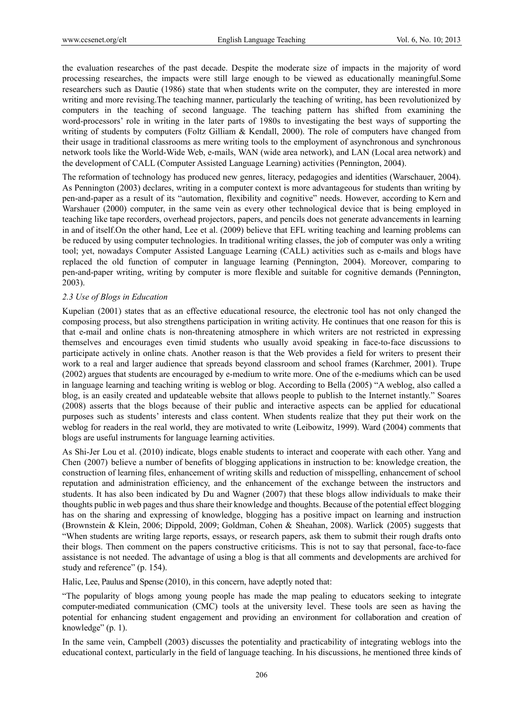the evaluation researches of the past decade. Despite the moderate size of impacts in the majority of word processing researches, the impacts were still large enough to be viewed as educationally meaningful.Some researchers such as Dautie (1986) state that when students write on the computer, they are interested in more writing and more revising.The teaching manner, particularly the teaching of writing, has been revolutionized by computers in the teaching of second language. The teaching pattern has shifted from examining the word-processors' role in writing in the later parts of 1980s to investigating the best ways of supporting the writing of students by computers (Foltz Gilliam & Kendall, 2000). The role of computers have changed from their usage in traditional classrooms as mere writing tools to the employment of asynchronous and synchronous network tools like the World-Wide Web, e-mails, WAN (wide area network), and LAN (Local area network) and the development of CALL (Computer Assisted Language Learning) activities (Pennington, 2004).

The reformation of technology has produced new genres, literacy, pedagogies and identities (Warschauer, 2004). As Pennington (2003) declares, writing in a computer context is more advantageous for students than writing by pen-and-paper as a result of its "automation, flexibility and cognitive" needs. However, according to Kern and Warshauer (2000) computer, in the same vein as every other technological device that is being employed in teaching like tape recorders, overhead projectors, papers, and pencils does not generate advancements in learning in and of itself.On the other hand, Lee et al. (2009) believe that EFL writing teaching and learning problems can be reduced by using computer technologies. In traditional writing classes, the job of computer was only a writing tool; yet, nowadays Computer Assisted Language Learning (CALL) activities such as e-mails and blogs have replaced the old function of computer in language learning (Pennington, 2004). Moreover, comparing to pen-and-paper writing, writing by computer is more flexible and suitable for cognitive demands (Pennington, 2003).

# *2.3 Use of Blogs in Education*

Kupelian (2001) states that as an effective educational resource, the electronic tool has not only changed the composing process, but also strengthens participation in writing activity. He continues that one reason for this is that e-mail and online chats is non-threatening atmosphere in which writers are not restricted in expressing themselves and encourages even timid students who usually avoid speaking in face-to-face discussions to participate actively in online chats. Another reason is that the Web provides a field for writers to present their work to a real and larger audience that spreads beyond classroom and school frames (Karchmer, 2001). Trupe (2002) argues that students are encouraged by e-medium to write more. One of the e-mediums which can be used in language learning and teaching writing is weblog or blog. According to Bella (2005) "A weblog, also called a blog, is an easily created and updateable website that allows people to publish to the Internet instantly." Soares (2008) asserts that the blogs because of their public and interactive aspects can be applied for educational purposes such as students' interests and class content. When students realize that they put their work on the weblog for readers in the real world, they are motivated to write (Leibowitz, 1999). Ward (2004) comments that blogs are useful instruments for language learning activities.

As Shi-Jer Lou et al. (2010) indicate, blogs enable students to interact and cooperate with each other. Yang and Chen (2007) believe a number of benefits of blogging applications in instruction to be: knowledge creation, the construction of learning files, enhancement of writing skills and reduction of misspelling, enhancement of school reputation and administration efficiency, and the enhancement of the exchange between the instructors and students. It has also been indicated by Du and Wagner (2007) that these blogs allow individuals to make their thoughts public in web pages and thus share their knowledge and thoughts. Because of the potential effect blogging has on the sharing and expressing of knowledge, blogging has a positive impact on learning and instruction (Brownstein & Klein, 2006; Dippold, 2009; Goldman, Cohen & Sheahan, 2008). Warlick (2005) suggests that "When students are writing large reports, essays, or research papers, ask them to submit their rough drafts onto their blogs. Then comment on the papers constructive criticisms. This is not to say that personal, face-to-face assistance is not needed. The advantage of using a blog is that all comments and developments are archived for study and reference" (p. 154).

Halic, Lee, Paulus and Spense (2010), in this concern, have adeptly noted that:

"The popularity of blogs among young people has made the map pealing to educators seeking to integrate computer-mediated communication (CMC) tools at the university level. These tools are seen as having the potential for enhancing student engagement and providing an environment for collaboration and creation of knowledge" (p. 1).

In the same vein, Campbell (2003) discusses the potentiality and practicability of integrating weblogs into the educational context, particularly in the field of language teaching. In his discussions, he mentioned three kinds of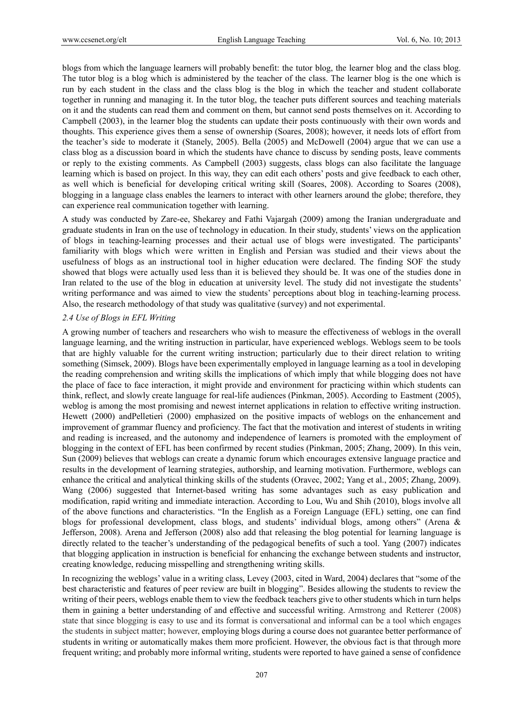blogs from which the language learners will probably benefit: the tutor blog, the learner blog and the class blog. The tutor blog is a blog which is administered by the teacher of the class. The learner blog is the one which is run by each student in the class and the class blog is the blog in which the teacher and student collaborate together in running and managing it. In the tutor blog, the teacher puts different sources and teaching materials on it and the students can read them and comment on them, but cannot send posts themselves on it. According to Campbell (2003), in the learner blog the students can update their posts continuously with their own words and thoughts. This experience gives them a sense of ownership (Soares, 2008); however, it needs lots of effort from the teacher's side to moderate it (Stanely, 2005). Bella (2005) and McDowell (2004) argue that we can use a class blog as a discussion board in which the students have chance to discuss by sending posts, leave comments or reply to the existing comments. As Campbell (2003) suggests, class blogs can also facilitate the language learning which is based on project. In this way, they can edit each others' posts and give feedback to each other, as well which is beneficial for developing critical writing skill (Soares, 2008). According to Soares (2008), blogging in a language class enables the learners to interact with other learners around the globe; therefore, they can experience real communication together with learning.

A study was conducted by Zare-ee, Shekarey and Fathi Vajargah (2009) among the Iranian undergraduate and graduate students in Iran on the use of technology in education. In their study, students' views on the application of blogs in teaching-learning processes and their actual use of blogs were investigated. The participants' familiarity with blogs which were written in English and Persian was studied and their views about the usefulness of blogs as an instructional tool in higher education were declared. The finding SOF the study showed that blogs were actually used less than it is believed they should be. It was one of the studies done in Iran related to the use of the blog in education at university level. The study did not investigate the students' writing performance and was aimed to view the students' perceptions about blog in teaching-learning process. Also, the research methodology of that study was qualitative (survey) and not experimental.

#### *2.4 Use of Blogs in EFL Writing*

A growing number of teachers and researchers who wish to measure the effectiveness of weblogs in the overall language learning, and the writing instruction in particular, have experienced weblogs. Weblogs seem to be tools that are highly valuable for the current writing instruction; particularly due to their direct relation to writing something (Simsek, 2009). Blogs have been experimentally employed in language learning as a tool in developing the reading comprehension and writing skills the implications of which imply that while blogging does not have the place of face to face interaction, it might provide and environment for practicing within which students can think, reflect, and slowly create language for real-life audiences (Pinkman, 2005). According to Eastment (2005), weblog is among the most promising and newest internet applications in relation to effective writing instruction. Hewett (2000) andPelletieri (2000) emphasized on the positive impacts of weblogs on the enhancement and improvement of grammar fluency and proficiency. The fact that the motivation and interest of students in writing and reading is increased, and the autonomy and independence of learners is promoted with the employment of blogging in the context of EFL has been confirmed by recent studies (Pinkman, 2005; Zhang, 2009). In this vein, Sun (2009) believes that weblogs can create a dynamic forum which encourages extensive language practice and results in the development of learning strategies, authorship, and learning motivation. Furthermore, weblogs can enhance the critical and analytical thinking skills of the students (Oravec, 2002; Yang et al., 2005; Zhang, 2009). Wang (2006) suggested that Internet-based writing has some advantages such as easy publication and modification, rapid writing and immediate interaction. According to Lou, Wu and Shih (2010), blogs involve all of the above functions and characteristics. "In the English as a Foreign Language (EFL) setting, one can find blogs for professional development, class blogs, and students' individual blogs, among others" (Arena & Jefferson, 2008). Arena and Jefferson (2008) also add that releasing the blog potential for learning language is directly related to the teacher's understanding of the pedagogical benefits of such a tool. Yang (2007) indicates that blogging application in instruction is beneficial for enhancing the exchange between students and instructor, creating knowledge, reducing misspelling and strengthening writing skills.

In recognizing the weblogs' value in a writing class, Levey (2003, cited in Ward, 2004) declares that "some of the best characteristic and features of peer review are built in blogging". Besides allowing the students to review the writing of their peers, weblogs enable them to view the feedback teachers give to other students which in turn helps them in gaining a better understanding of and effective and successful writing. Armstrong and Retterer (2008) state that since blogging is easy to use and its format is conversational and informal can be a tool which engages the students in subject matter; however, employing blogs during a course does not guarantee better performance of students in writing or automatically makes them more proficient. However, the obvious fact is that through more frequent writing; and probably more informal writing, students were reported to have gained a sense of confidence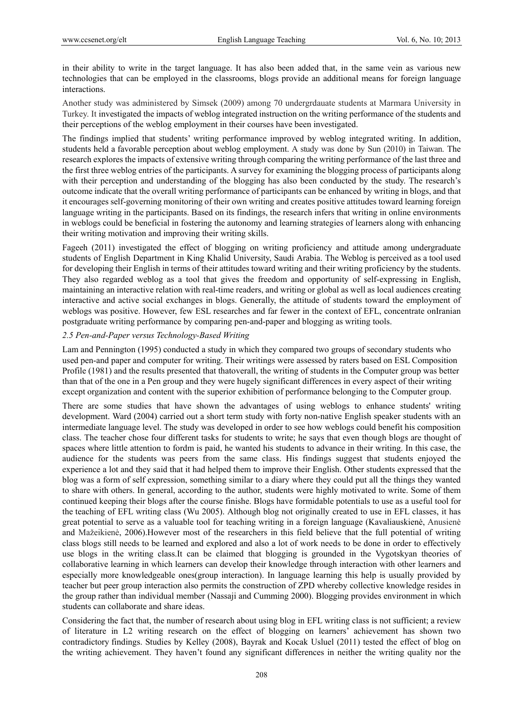in their ability to write in the target language. It has also been added that, in the same vein as various new technologies that can be employed in the classrooms, blogs provide an additional means for foreign language interactions.

Another study was administered by Simsek (2009) among 70 undergrdauate students at Marmara University in Turkey. It investigated the impacts of weblog integrated instruction on the writing performance of the students and their perceptions of the weblog employment in their courses have been investigated.

The findings implied that students' writing performance improved by weblog integrated writing. In addition, students held a favorable perception about weblog employment. A study was done by Sun (2010) in Taiwan. The research explores the impacts of extensive writing through comparing the writing performance of the last three and the first three weblog entries of the participants. A survey for examining the blogging process of participants along with their perception and understanding of the blogging has also been conducted by the study. The research's outcome indicate that the overall writing performance of participants can be enhanced by writing in blogs, and that it encourages self-governing monitoring of their own writing and creates positive attitudes toward learning foreign language writing in the participants. Based on its findings, the research infers that writing in online environments in weblogs could be beneficial in fostering the autonomy and learning strategies of learners along with enhancing their writing motivation and improving their writing skills.

Fageeh (2011) investigated the effect of blogging on writing proficiency and attitude among undergraduate students of English Department in King Khalid University, Saudi Arabia. The Weblog is perceived as a tool used for developing their English in terms of their attitudes toward writing and their writing proficiency by the students. They also regarded weblog as a tool that gives the freedom and opportunity of self-expressing in English, maintaining an interactive relation with real-time readers, and writing or global as well as local audiences creating interactive and active social exchanges in blogs. Generally, the attitude of students toward the employment of weblogs was positive. However, few ESL researches and far fewer in the context of EFL, concentrate onIranian postgraduate writing performance by comparing pen-and-paper and blogging as writing tools.

# *2.5 Pen-and-Paper versus Technology-Based Writing*

Lam and Pennington (1995) conducted a study in which they compared two groups of secondary students who used pen-and paper and computer for writing. Their writings were assessed by raters based on ESL Composition Profile (1981) and the results presented that thatoverall, the writing of students in the Computer group was better than that of the one in a Pen group and they were hugely significant differences in every aspect of their writing except organization and content with the superior exhibition of performance belonging to the Computer group.

There are some studies that have shown the advantages of using weblogs to enhance students' writing development. Ward (2004) carried out a short term study with forty non-native English speaker students with an intermediate language level. The study was developed in order to see how weblogs could benefit his composition class. The teacher chose four different tasks for students to write; he says that even though blogs are thought of spaces where little attention to fordm is paid, he wanted his students to advance in their writing. In this case, the audience for the students was peers from the same class. His findings suggest that students enjoyed the experience a lot and they said that it had helped them to improve their English. Other students expressed that the blog was a form of self expression, something similar to a diary where they could put all the things they wanted to share with others. In general, according to the author, students were highly motivated to write. Some of them continued keeping their blogs after the course finishe. Blogs have formidable potentials to use as a useful tool for the teaching of EFL writing class (Wu 2005). Although blog not originally created to use in EFL classes, it has great potential to serve as a valuable tool for teaching writing in a foreign language (Kavaliauskienė, Anusienė and Mažeikienė, 2006).However most of the researchers in this field believe that the full potential of writing class blogs still needs to be learned and explored and also a lot of work needs to be done in order to effectively use blogs in the writing class.It can be claimed that blogging is grounded in the Vygotskyan theories of collaborative learning in which learners can develop their knowledge through interaction with other learners and especially more knowledgeable ones(group interaction). In language learning this help is usually provided by teacher but peer group interaction also permits the construction of ZPD whereby collective knowledge resides in the group rather than individual member (Nassaji and Cumming 2000). Blogging provides environment in which students can collaborate and share ideas.

Considering the fact that, the number of research about using blog in EFL writing class is not sufficient; a review of literature in L2 writing research on the effect of blogging on learners' achievement has shown two contradictory findings. Studies by Kelley (2008), Bayrak and Kocak Usluel (2011) tested the effect of blog on the writing achievement. They haven't found any significant differences in neither the writing quality nor the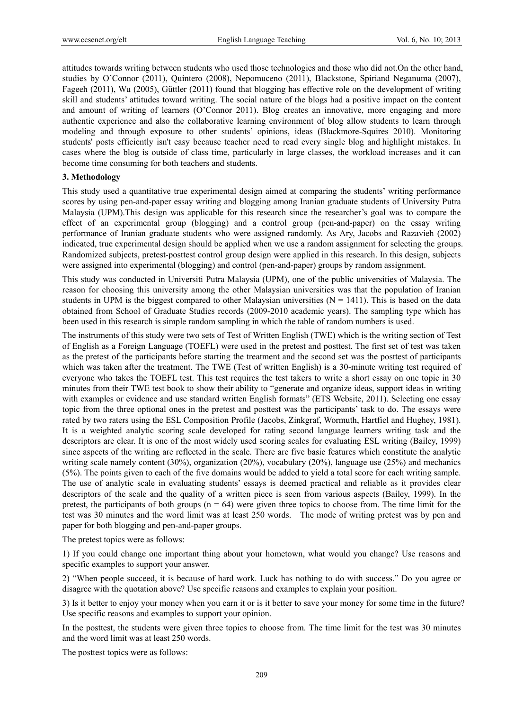attitudes towards writing between students who used those technologies and those who did not.On the other hand, studies by O'Connor (2011), Quintero (2008), Nepomuceno (2011), Blackstone, Spiriand Neganuma (2007), Fageeh (2011), Wu (2005), Güttler (2011) found that blogging has effective role on the development of writing skill and students' attitudes toward writing. The social nature of the blogs had a positive impact on the content and amount of writing of learners (O'Connor 2011). Blog creates an innovative, more engaging and more authentic experience and also the collaborative learning environment of blog allow students to learn through modeling and through exposure to other students' opinions, ideas (Blackmore-Squires 2010). Monitoring students' posts efficiently isn't easy because teacher need to read every single blog and highlight mistakes. In cases where the blog is outside of class time, particularly in large classes, the workload increases and it can become time consuming for both teachers and students.

#### **3. Methodology**

This study used a quantitative true experimental design aimed at comparing the students' writing performance scores by using pen-and-paper essay writing and blogging among Iranian graduate students of University Putra Malaysia (UPM).This design was applicable for this research since the researcher's goal was to compare the effect of an experimental group (blogging) and a control group (pen-and-paper) on the essay writing performance of Iranian graduate students who were assigned randomly. As Ary, Jacobs and Razavieh (2002) indicated, true experimental design should be applied when we use a random assignment for selecting the groups. Randomized subjects, pretest-posttest control group design were applied in this research. In this design, subjects were assigned into experimental (blogging) and control (pen-and-paper) groups by random assignment.

This study was conducted in Universiti Putra Malaysia (UPM), one of the public universities of Malaysia. The reason for choosing this university among the other Malaysian universities was that the population of Iranian students in UPM is the biggest compared to other Malaysian universities  $(N = 1411)$ . This is based on the data obtained from School of Graduate Studies records (2009-2010 academic years). The sampling type which has been used in this research is simple random sampling in which the table of random numbers is used.

The instruments of this study were two sets of Test of Written English (TWE) which is the writing section of Test of English as a Foreign Language (TOEFL) were used in the pretest and posttest. The first set of test was taken as the pretest of the participants before starting the treatment and the second set was the posttest of participants which was taken after the treatment. The TWE (Test of written English) is a 30-minute writing test required of everyone who takes the TOEFL test. This test requires the test takers to write a short essay on one topic in 30 minutes from their TWE test book to show their ability to "generate and organize ideas, support ideas in writing with examples or evidence and use standard written English formats" (ETS Website, 2011). Selecting one essay topic from the three optional ones in the pretest and posttest was the participants' task to do. The essays were rated by two raters using the ESL Composition Profile (Jacobs, Zinkgraf, Wormuth, Hartfiel and Hughey, 1981). It is a weighted analytic scoring scale developed for rating second language learners writing task and the descriptors are clear. It is one of the most widely used scoring scales for evaluating ESL writing (Bailey, 1999) since aspects of the writing are reflected in the scale. There are five basic features which constitute the analytic writing scale namely content (30%), organization (20%), vocabulary (20%), language use (25%) and mechanics (5%). The points given to each of the five domains would be added to yield a total score for each writing sample. The use of analytic scale in evaluating students' essays is deemed practical and reliable as it provides clear descriptors of the scale and the quality of a written piece is seen from various aspects (Bailey, 1999). In the pretest, the participants of both groups  $(n = 64)$  were given three topics to choose from. The time limit for the test was 30 minutes and the word limit was at least 250 words. The mode of writing pretest was by pen and paper for both blogging and pen-and-paper groups.

The pretest topics were as follows:

1) If you could change one important thing about your hometown, what would you change? Use reasons and specific examples to support your answer.

2) "When people succeed, it is because of hard work. Luck has nothing to do with success." Do you agree or disagree with the quotation above? Use specific reasons and examples to explain your position.

3) Is it better to enjoy your money when you earn it or is it better to save your money for some time in the future? Use specific reasons and examples to support your opinion.

In the posttest, the students were given three topics to choose from. The time limit for the test was 30 minutes and the word limit was at least 250 words.

The posttest topics were as follows: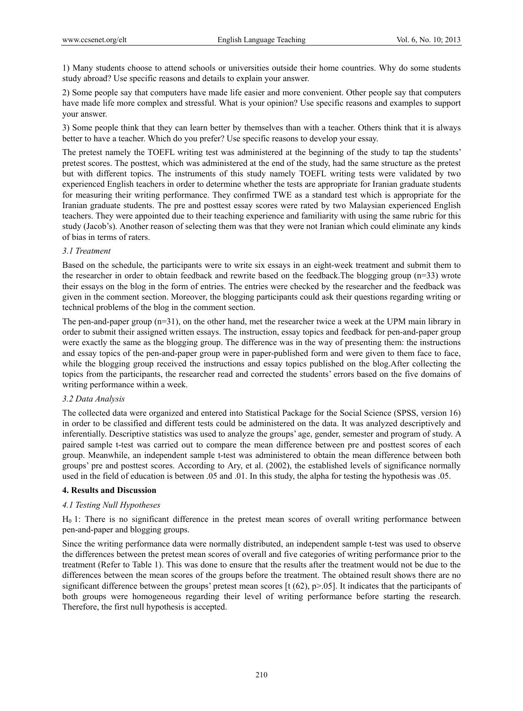1) Many students choose to attend schools or universities outside their home countries. Why do some students study abroad? Use specific reasons and details to explain your answer.

2) Some people say that computers have made life easier and more convenient. Other people say that computers have made life more complex and stressful. What is your opinion? Use specific reasons and examples to support your answer.

3) Some people think that they can learn better by themselves than with a teacher. Others think that it is always better to have a teacher. Which do you prefer? Use specific reasons to develop your essay.

The pretest namely the TOEFL writing test was administered at the beginning of the study to tap the students' pretest scores. The posttest, which was administered at the end of the study, had the same structure as the pretest but with different topics. The instruments of this study namely TOEFL writing tests were validated by two experienced English teachers in order to determine whether the tests are appropriate for Iranian graduate students for measuring their writing performance. They confirmed TWE as a standard test which is appropriate for the Iranian graduate students. The pre and posttest essay scores were rated by two Malaysian experienced English teachers. They were appointed due to their teaching experience and familiarity with using the same rubric for this study (Jacob's). Another reason of selecting them was that they were not Iranian which could eliminate any kinds of bias in terms of raters.

# *3.1 Treatment*

Based on the schedule, the participants were to write six essays in an eight-week treatment and submit them to the researcher in order to obtain feedback and rewrite based on the feedback.The blogging group (n=33) wrote their essays on the blog in the form of entries. The entries were checked by the researcher and the feedback was given in the comment section. Moreover, the blogging participants could ask their questions regarding writing or technical problems of the blog in the comment section.

The pen-and-paper group (n=31), on the other hand, met the researcher twice a week at the UPM main library in order to submit their assigned written essays. The instruction, essay topics and feedback for pen-and-paper group were exactly the same as the blogging group. The difference was in the way of presenting them: the instructions and essay topics of the pen-and-paper group were in paper-published form and were given to them face to face, while the blogging group received the instructions and essay topics published on the blog.After collecting the topics from the participants, the researcher read and corrected the students' errors based on the five domains of writing performance within a week.

# *3.2 Data Analysis*

The collected data were organized and entered into Statistical Package for the Social Science (SPSS, version 16) in order to be classified and different tests could be administered on the data. It was analyzed descriptively and inferentially. Descriptive statistics was used to analyze the groups' age, gender, semester and program of study. A paired sample t-test was carried out to compare the mean difference between pre and posttest scores of each group. Meanwhile, an independent sample t-test was administered to obtain the mean difference between both groups' pre and posttest scores. According to Ary, et al. (2002), the established levels of significance normally used in the field of education is between .05 and .01. In this study, the alpha for testing the hypothesis was .05.

# **4. Results and Discussion**

# *4.1 Testing Null Hypotheses*

 $H_0$  1: There is no significant difference in the pretest mean scores of overall writing performance between pen-and-paper and blogging groups.

Since the writing performance data were normally distributed, an independent sample t-test was used to observe the differences between the pretest mean scores of overall and five categories of writing performance prior to the treatment (Refer to Table 1). This was done to ensure that the results after the treatment would not be due to the differences between the mean scores of the groups before the treatment. The obtained result shows there are no significant difference between the groups' pretest mean scores  $[t (62), p>05]$ . It indicates that the participants of both groups were homogeneous regarding their level of writing performance before starting the research. Therefore, the first null hypothesis is accepted.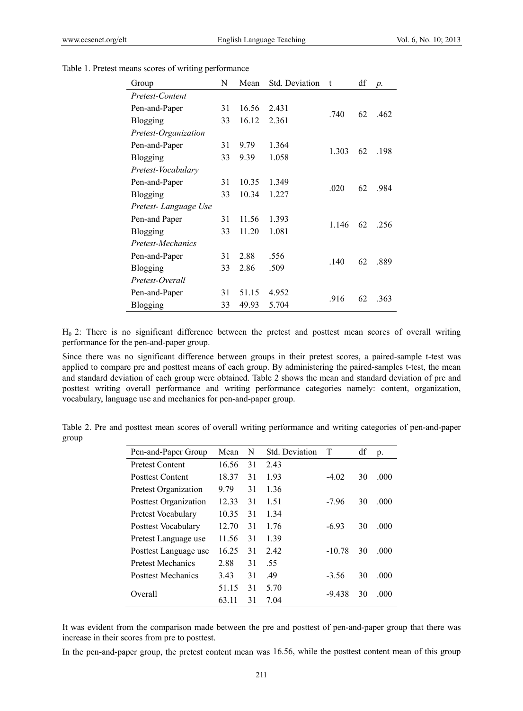L,

| Group                | N  | Mean  | Std. Deviation | $\mathbf t$ | df | $p$ . |
|----------------------|----|-------|----------------|-------------|----|-------|
| Pretest-Content      |    |       |                |             |    |       |
| Pen-and-Paper        | 31 | 16.56 | 2.431          |             | 62 | .462  |
| Blogging             | 33 | 16.12 | 2.361          | .740        |    |       |
| Pretest-Organization |    |       |                |             |    |       |
| Pen-and-Paper        | 31 | 9.79  | 1.364          | 1.303       | 62 | .198  |
| Blogging             | 33 | 9.39  | 1.058          |             |    |       |
| Pretest-Vocabulary   |    |       |                |             |    |       |
| Pen-and-Paper        | 31 | 10.35 | 1.349          | .020        | 62 | .984  |
| Blogging             | 33 | 10.34 | 1.227          |             |    |       |
| Pretest-Language Use |    |       |                |             |    |       |
| Pen-and Paper        | 31 | 11.56 | 1.393          | 1.146       | 62 | .256  |
| Blogging             | 33 | 11.20 | 1.081          |             |    |       |
| Pretest-Mechanics    |    |       |                |             |    |       |
| Pen-and-Paper        | 31 | 2.88  | .556           | .140        | 62 | .889  |
| Blogging             | 33 | 2.86  | .509           |             |    |       |
| Pretest-Overall      |    |       |                |             |    |       |
| Pen-and-Paper        | 31 | 51.15 | 4.952          | .916        | 62 | .363  |
| Blogging             | 33 | 49.93 | 5.704          |             |    |       |

H<sub>0</sub> 2: There is no significant difference between the pretest and posttest mean scores of overall writing performance for the pen-and-paper group.

Since there was no significant difference between groups in their pretest scores, a paired-sample t-test was applied to compare pre and posttest means of each group. By administering the paired-samples t-test, the mean and standard deviation of each group were obtained. Table 2 shows the mean and standard deviation of pre and posttest writing overall performance and writing performance categories namely: content, organization, vocabulary, language use and mechanics for pen-and-paper group.

Table 2. Pre and posttest mean scores of overall writing performance and writing categories of pen-and-paper group

| Pen-and-Paper Group         | Mean  | N  | Std. Deviation | T        | df | p.   |
|-----------------------------|-------|----|----------------|----------|----|------|
| <b>Pretest Content</b>      | 16.56 | 31 | 2.43           |          |    |      |
| <b>Posttest Content</b>     | 18.37 | 31 | 1.93           | $-4.02$  | 30 | .000 |
| <b>Pretest Organization</b> | 9.79  | 31 | 1.36           |          |    |      |
| Posttest Organization       | 12.33 | 31 | 1.51           | $-796$   | 30 | .000 |
| Pretest Vocabulary          | 10.35 | 31 | 1.34           |          |    |      |
| Posttest Vocabulary         | 12.70 | 31 | 1.76           | $-693$   | 30 | .000 |
| Pretest Language use        | 11.56 | 31 | 1.39           |          |    |      |
| Posttest Language use       | 16.25 | 31 | 2.42           | $-10.78$ | 30 | .000 |
| Pretest Mechanics           | 2.88  | 31 | .55            |          |    |      |
| Posttest Mechanics          | 3.43  | 31 | .49            | $-3.56$  | 30 | .000 |
| Overall                     | 51.15 | 31 | 5.70           | -9438    | 30 | .000 |
|                             | 63.11 | 31 | 7.04           |          |    |      |

It was evident from the comparison made between the pre and posttest of pen-and-paper group that there was increase in their scores from pre to posttest.

In the pen-and-paper group, the pretest content mean was 16.56, while the posttest content mean of this group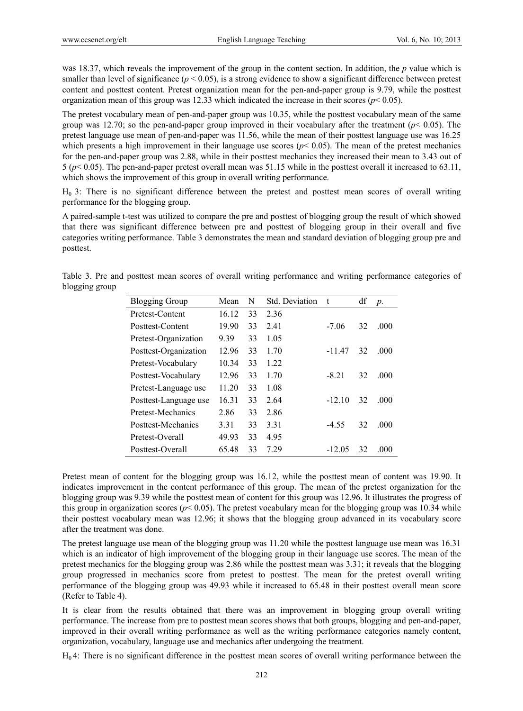was 18.37, which reveals the improvement of the group in the content section. In addition, the *p* value which is smaller than level of significance  $(p < 0.05)$ , is a strong evidence to show a significant difference between pretest content and posttest content. Pretest organization mean for the pen-and-paper group is 9.79, while the posttest organization mean of this group was 12.33 which indicated the increase in their scores ( $p$ < 0.05).

The pretest vocabulary mean of pen-and-paper group was 10.35, while the posttest vocabulary mean of the same group was 12.70; so the pen-and-paper group improved in their vocabulary after the treatment ( $p$ < 0.05). The pretest language use mean of pen-and-paper was 11.56, while the mean of their posttest language use was 16.25 which presents a high improvement in their language use scores ( $p$ < 0.05). The mean of the pretest mechanics for the pen-and-paper group was 2.88, while in their posttest mechanics they increased their mean to 3.43 out of 5 (*p*< 0.05). The pen-and-paper pretest overall mean was 51.15 while in the posttest overall it increased to 63.11, which shows the improvement of this group in overall writing performance.

H<sub>0</sub> 3: There is no significant difference between the pretest and posttest mean scores of overall writing performance for the blogging group.

A paired-sample t-test was utilized to compare the pre and posttest of blogging group the result of which showed that there was significant difference between pre and posttest of blogging group in their overall and five categories writing performance. Table 3 demonstrates the mean and standard deviation of blogging group pre and posttest.

Table 3. Pre and posttest mean scores of overall writing performance and writing performance categories of blogging group

| <b>Blogging Group</b> | Mean  | N  | Std. Deviation | t        | df | р.   |
|-----------------------|-------|----|----------------|----------|----|------|
| Pretest-Content       | 16.12 | 33 | 2.36           |          |    |      |
| Posttest-Content      | 19.90 | 33 | 2.41           | $-7.06$  | 32 | .000 |
| Pretest-Organization  | 9.39  | 33 | 1.05           |          |    |      |
| Posttest-Organization | 12.96 | 33 | 1.70           | $-11.47$ | 32 | .000 |
| Pretest-Vocabulary    | 10.34 | 33 | 1.22           |          |    |      |
| Posttest-Vocabulary   | 12.96 | 33 | 1.70           | $-8.21$  | 32 | .000 |
| Pretest-Language use  | 11.20 | 33 | 1.08           |          |    |      |
| Posttest-Language use | 1631  | 33 | 2.64           | $-1210$  | 32 | .000 |
| Pretest-Mechanics     | 2.86  | 33 | 2.86           |          |    |      |
| Posttest-Mechanics    | 3.31  | 33 | 3.31           | $-4.55$  | 32 | .000 |
| Pretest-Overall       | 49.93 | 33 | 4.95           |          |    |      |
| Posttest-Overall      | 65.48 | 33 | 7 29           | -12.05   | 32 | .000 |

Pretest mean of content for the blogging group was 16.12, while the posttest mean of content was 19.90. It indicates improvement in the content performance of this group. The mean of the pretest organization for the blogging group was 9.39 while the posttest mean of content for this group was 12.96. It illustrates the progress of this group in organization scores ( $p$ < 0.05). The pretest vocabulary mean for the blogging group was 10.34 while their posttest vocabulary mean was 12.96; it shows that the blogging group advanced in its vocabulary score after the treatment was done.

The pretest language use mean of the blogging group was 11.20 while the posttest language use mean was 16.31 which is an indicator of high improvement of the blogging group in their language use scores. The mean of the pretest mechanics for the blogging group was 2.86 while the posttest mean was 3.31; it reveals that the blogging group progressed in mechanics score from pretest to posttest. The mean for the pretest overall writing performance of the blogging group was 49.93 while it increased to 65.48 in their posttest overall mean score (Refer to Table 4).

It is clear from the results obtained that there was an improvement in blogging group overall writing performance. The increase from pre to posttest mean scores shows that both groups, blogging and pen-and-paper, improved in their overall writing performance as well as the writing performance categories namely content, organization, vocabulary, language use and mechanics after undergoing the treatment.

H0 4: There is no significant difference in the posttest mean scores of overall writing performance between the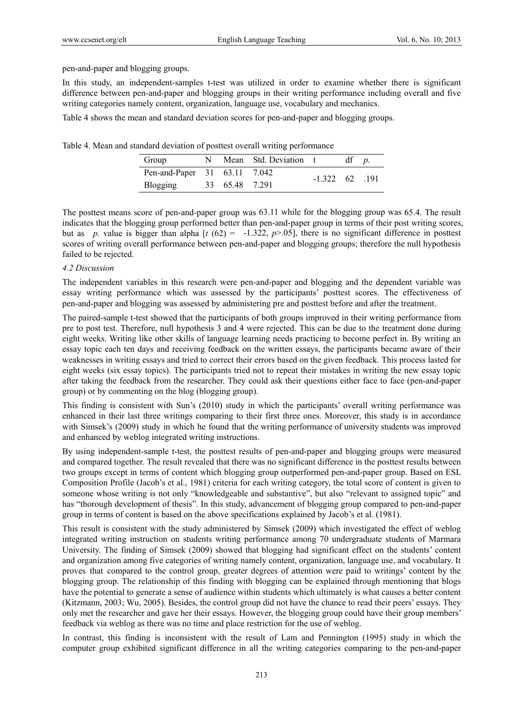pen-and-paper and blogging groups.

In this study, an independent-samples t-test was utilized in order to examine whether there is significant difference between pen-and-paper and blogging groups in their writing performance including overall and five writing categories namely content, organization, language use, vocabulary and mechanics.

Table 4 shows the mean and standard deviation scores for pen-and-paper and blogging groups.

Table 4. Mean and standard deviation of posttest overall writing performance

| Group                        | N. | Mean Std. Deviation t |  | $df$ <i>p</i> . |                  |
|------------------------------|----|-----------------------|--|-----------------|------------------|
| Pen-and-Paper 31 63.11 7.042 |    |                       |  |                 | $-1.322$ 62 .191 |
| Blogging 33 65.48 7.291      |    |                       |  |                 |                  |

The posttest means score of pen-and-paper group was 63.11 while for the blogging group was 65.4. The result indicates that the blogging group performed better than pen-and-paper group in terms of their post writing scores, but as *p.* value is bigger than alpha  $[t (62) = -1.322, p > 0.05]$ , there is no significant difference in posttest scores of writing overall performance between pen-and-paper and blogging groups; therefore the null hypothesis failed to be rejected.

#### *4.2 Discussion*

The independent variables in this research were pen-and-paper and blogging and the dependent variable was essay writing performance which was assessed by the participants' posttest scores. The effectiveness of pen-and-paper and blogging was assessed by administering pre and posttest before and after the treatment.

The paired-sample t-test showed that the participants of both groups improved in their writing performance from pre to post test. Therefore, null hypothesis 3 and 4 were rejected. This can be due to the treatment done during eight weeks. Writing like other skills of language learning needs practicing to become perfect in. By writing an essay topic each ten days and receiving feedback on the written essays, the participants became aware of their weaknesses in writing essays and tried to correct their errors based on the given feedback. This process lasted for eight weeks (six essay topics). The participants tried not to repeat their mistakes in writing the new essay topic after taking the feedback from the researcher. They could ask their questions either face to face (pen-and-paper group) or by commenting on the blog (blogging group).

This finding is consistent with Sun's (2010) study in which the participants' overall writing performance was enhanced in their last three writings comparing to their first three ones. Moreover, this study is in accordance with Simsek's (2009) study in which he found that the writing performance of university students was improved and enhanced by weblog integrated writing instructions.

By using independent-sample t-test, the posttest results of pen-and-paper and blogging groups were measured and compared together. The result revealed that there was no significant difference in the posttest results between two groups except in terms of content which blogging group outperformed pen-and-paper group. Based on ESL Composition Profile (Jacob's et al., 1981) criteria for each writing category, the total score of content is given to someone whose writing is not only "knowledgeable and substantive", but also "relevant to assigned topic" and has "thorough development of thesis". In this study, advancement of blogging group compared to pen-and-paper group in terms of content is based on the above specifications explained by Jacob's et al. (1981).

This result is consistent with the study administered by Simsek (2009) which investigated the effect of weblog integrated writing instruction on students writing performance among 70 undergraduate students of Marmara University. The finding of Simsek (2009) showed that blogging had significant effect on the students' content and organization among five categories of writing namely content, organization, language use, and vocabulary. It proves that compared to the control group, greater degrees of attention were paid to writings' content by the blogging group. The relationship of this finding with blogging can be explained through mentioning that blogs have the potential to generate a sense of audience within students which ultimately is what causes a better content (Kitzmann, 2003; Wu, 2005). Besides, the control group did not have the chance to read their peers' essays. They only met the researcher and gave her their essays. However, the blogging group could have their group members' feedback via weblog as there was no time and place restriction for the use of weblog.

In contrast, this finding is inconsistent with the result of Lam and Pennington (1995) study in which the computer group exhibited significant difference in all the writing categories comparing to the pen-and-paper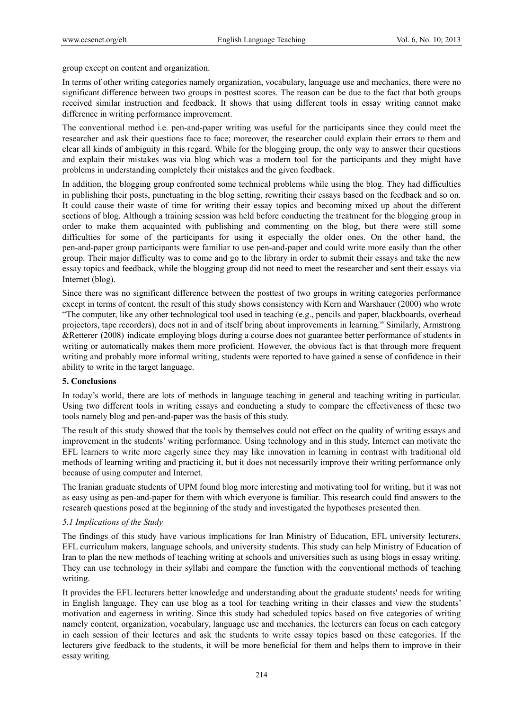group except on content and organization.

In terms of other writing categories namely organization, vocabulary, language use and mechanics, there were no significant difference between two groups in posttest scores. The reason can be due to the fact that both groups received similar instruction and feedback. It shows that using different tools in essay writing cannot make difference in writing performance improvement.

The conventional method i.e. pen-and-paper writing was useful for the participants since they could meet the researcher and ask their questions face to face; moreover, the researcher could explain their errors to them and clear all kinds of ambiguity in this regard. While for the blogging group, the only way to answer their questions and explain their mistakes was via blog which was a modern tool for the participants and they might have problems in understanding completely their mistakes and the given feedback.

In addition, the blogging group confronted some technical problems while using the blog. They had difficulties in publishing their posts, punctuating in the blog setting, rewriting their essays based on the feedback and so on. It could cause their waste of time for writing their essay topics and becoming mixed up about the different sections of blog. Although a training session was held before conducting the treatment for the blogging group in order to make them acquainted with publishing and commenting on the blog, but there were still some difficulties for some of the participants for using it especially the older ones. On the other hand, the pen-and-paper group participants were familiar to use pen-and-paper and could write more easily than the other group. Their major difficulty was to come and go to the library in order to submit their essays and take the new essay topics and feedback, while the blogging group did not need to meet the researcher and sent their essays via Internet (blog).

Since there was no significant difference between the posttest of two groups in writing categories performance except in terms of content, the result of this study shows consistency with Kern and Warshauer (2000) who wrote "The computer, like any other technological tool used in teaching (e.g., pencils and paper, blackboards, overhead projectors, tape recorders), does not in and of itself bring about improvements in learning." Similarly, Armstrong &Retterer (2008) indicate employing blogs during a course does not guarantee better performance of students in writing or automatically makes them more proficient. However, the obvious fact is that through more frequent writing and probably more informal writing, students were reported to have gained a sense of confidence in their ability to write in the target language.

# **5. Conclusions**

In today's world, there are lots of methods in language teaching in general and teaching writing in particular. Using two different tools in writing essays and conducting a study to compare the effectiveness of these two tools namely blog and pen-and-paper was the basis of this study.

The result of this study showed that the tools by themselves could not effect on the quality of writing essays and improvement in the students' writing performance. Using technology and in this study, Internet can motivate the EFL learners to write more eagerly since they may like innovation in learning in contrast with traditional old methods of learning writing and practicing it, but it does not necessarily improve their writing performance only because of using computer and Internet.

The Iranian graduate students of UPM found blog more interesting and motivating tool for writing, but it was not as easy using as pen-and-paper for them with which everyone is familiar. This research could find answers to the research questions posed at the beginning of the study and investigated the hypotheses presented then.

# *5.1 Implications of the Study*

The findings of this study have various implications for Iran Ministry of Education, EFL university lecturers, EFL curriculum makers, language schools, and university students. This study can help Ministry of Education of Iran to plan the new methods of teaching writing at schools and universities such as using blogs in essay writing. They can use technology in their syllabi and compare the function with the conventional methods of teaching writing.

It provides the EFL lecturers better knowledge and understanding about the graduate students' needs for writing in English language. They can use blog as a tool for teaching writing in their classes and view the students' motivation and eagerness in writing. Since this study had scheduled topics based on five categories of writing namely content, organization, vocabulary, language use and mechanics, the lecturers can focus on each category in each session of their lectures and ask the students to write essay topics based on these categories. If the lecturers give feedback to the students, it will be more beneficial for them and helps them to improve in their essay writing.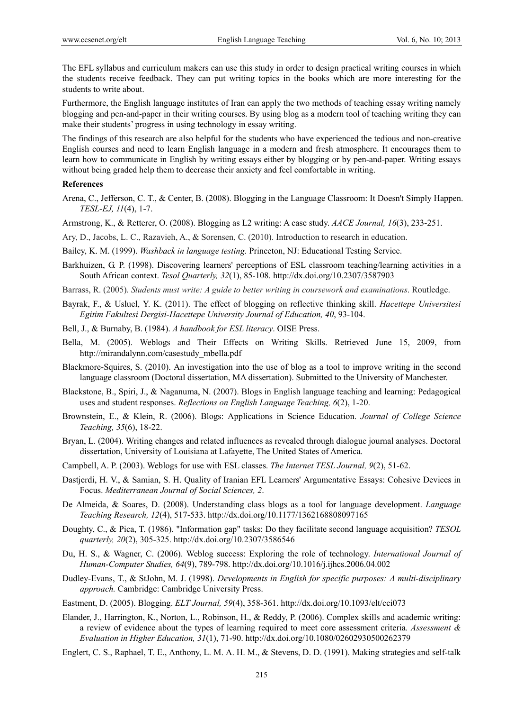The EFL syllabus and curriculum makers can use this study in order to design practical writing courses in which the students receive feedback. They can put writing topics in the books which are more interesting for the students to write about.

Furthermore, the English language institutes of Iran can apply the two methods of teaching essay writing namely blogging and pen-and-paper in their writing courses. By using blog as a modern tool of teaching writing they can make their students' progress in using technology in essay writing.

The findings of this research are also helpful for the students who have experienced the tedious and non-creative English courses and need to learn English language in a modern and fresh atmosphere. It encourages them to learn how to communicate in English by writing essays either by blogging or by pen-and-paper. Writing essays without being graded help them to decrease their anxiety and feel comfortable in writing.

#### **References**

Arena, C., Jefferson, C. T., & Center, B. (2008). Blogging in the Language Classroom: It Doesn't Simply Happen. *TESL-EJ, 11*(4), 1-7.

Armstrong, K., & Retterer, O. (2008). Blogging as L2 writing: A case study. *AACE Journal, 16*(3), 233-251.

Ary, D., Jacobs, L. C., Razavieh, A., & Sorensen, C. (2010). Introduction to research in education.

Bailey, K. M. (1999). *Washback in language testing.* Princeton, NJ: Educational Testing Service.

- Barkhuizen, G. P. (1998). Discovering learners' perceptions of ESL classroom teaching/learning activities in a South African context. *Tesol Quarterly, 32*(1), 85-108. http://dx.doi.org/10.2307/3587903
- Barrass, R. (2005). *Students must write: A guide to better writing in coursework and examinations*. Routledge.
- Bayrak, F., & Usluel, Y. K. (2011). The effect of blogging on reflective thinking skill. *Hacettepe Universitesi Egitim Fakultesi Dergisi-Hacettepe University Journal of Education, 40*, 93-104.
- Bell, J., & Burnaby, B. (1984). *A handbook for ESL literacy*. OISE Press.
- Bella, M. (2005). Weblogs and Their Effects on Writing Skills. Retrieved June 15, 2009, from http://mirandalynn.com/casestudy\_mbella.pdf
- Blackmore-Squires, S. (2010). An investigation into the use of blog as a tool to improve writing in the second language classroom (Doctoral dissertation, MA dissertation). Submitted to the University of Manchester.
- Blackstone, B., Spiri, J., & Naganuma, N. (2007). Blogs in English language teaching and learning: Pedagogical uses and student responses. *Reflections on English Language Teaching, 6*(2), 1-20.
- Brownstein, E., & Klein, R. (2006). Blogs: Applications in Science Education. *Journal of College Science Teaching, 35*(6), 18-22.
- Bryan, L. (2004). Writing changes and related influences as revealed through dialogue journal analyses. Doctoral dissertation, University of Louisiana at Lafayette, The United States of America.
- Campbell, A. P. (2003). Weblogs for use with ESL classes. *The Internet TESL Journal, 9*(2), 51-62.
- Dastjerdi, H. V., & Samian, S. H. Quality of Iranian EFL Learners' Argumentative Essays: Cohesive Devices in Focus. *Mediterranean Journal of Social Sciences, 2*.
- De Almeida, & Soares, D. (2008). Understanding class blogs as a tool for language development. *Language Teaching Research, 12*(4), 517-533. http://dx.doi.org/10.1177/1362168808097165
- Doughty, C., & Pica, T. (1986). "Information gap" tasks: Do they facilitate second language acquisition? *TESOL quarterly, 20*(2), 305-325. http://dx.doi.org/10.2307/3586546
- Du, H. S., & Wagner, C. (2006). Weblog success: Exploring the role of technology. *International Journal of Human-Computer Studies, 64*(9), 789-798. http://dx.doi.org/10.1016/j.ijhcs.2006.04.002
- Dudley-Evans, T., & StJohn, M. J. (1998). *Developments in English for specific purposes: A multi-disciplinary approach.* Cambridge: Cambridge University Press.
- Eastment, D. (2005). Blogging. *ELT Journal, 59*(4), 358-361. http://dx.doi.org/10.1093/elt/cci073
- Elander, J., Harrington, K., Norton, L., Robinson, H., & Reddy, P. (2006). Complex skills and academic writing: a review of evidence about the types of learning required to meet core assessment criteria*. Assessment & Evaluation in Higher Education, 31*(1), 71-90. http://dx.doi.org/10.1080/02602930500262379
- Englert, C. S., Raphael, T. E., Anthony, L. M. A. H. M., & Stevens, D. D. (1991). Making strategies and self-talk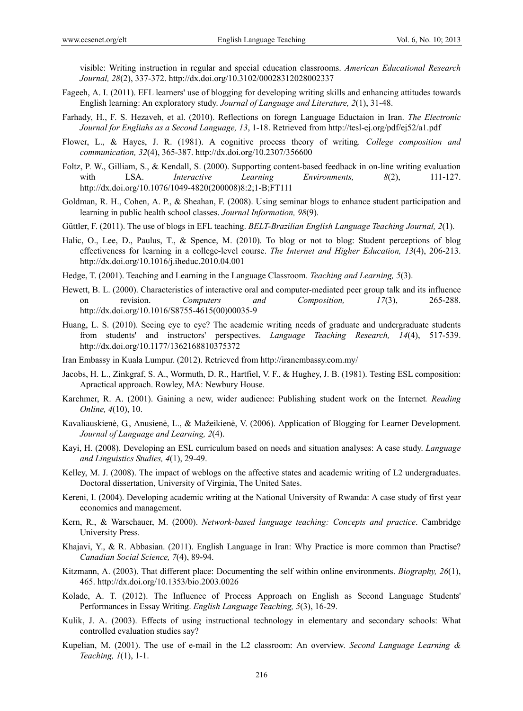visible: Writing instruction in regular and special education classrooms. *American Educational Research Journal, 28*(2), 337-372. http://dx.doi.org/10.3102/00028312028002337

- Fageeh, A. I. (2011). EFL learners' use of blogging for developing writing skills and enhancing attitudes towards English learning: An exploratory study. *Journal of Language and Literature, 2*(1), 31-48.
- Farhady, H., F. S. Hezaveh, et al. (2010). Reflections on foregn Language Eductaion in Iran. *The Electronic Journal for Engliahs as a Second Language, 13*, 1-18. Retrieved from http://tesl-ej.org/pdf/ej52/a1.pdf
- Flower, L., & Hayes, J. R. (1981). A cognitive process theory of writing*. College composition and communication, 32*(4), 365-387. http://dx.doi.org/10.2307/356600
- Foltz, P. W., Gilliam, S., & Kendall, S. (2000). Supporting content-based feedback in on-line writing evaluation with LSA. *Interactive Learning Environments*,  $8(2)$ , 111-127. http://dx.doi.org/10.1076/1049-4820(200008)8:2;1-B;FT111
- Goldman, R. H., Cohen, A. P., & Sheahan, F. (2008). Using seminar blogs to enhance student participation and learning in public health school classes. *Journal Information, 98*(9).
- Güttler, F. (2011). The use of blogs in EFL teaching. *BELT-Brazilian English Language Teaching Journal, 2*(1).
- Halic, O., Lee, D., Paulus, T., & Spence, M. (2010). To blog or not to blog: Student perceptions of blog effectiveness for learning in a college-level course. *The Internet and Higher Education, 13*(4), 206-213. http://dx.doi.org/10.1016/j.iheduc.2010.04.001
- Hedge, T. (2001). Teaching and Learning in the Language Classroom. *Teaching and Learning, 5*(3).
- Hewett, B. L. (2000). Characteristics of interactive oral and computer-mediated peer group talk and its influence on revision. *Computers and Composition, 17*(3), 265-288. http://dx.doi.org/10.1016/S8755-4615(00)00035-9
- Huang, L. S. (2010). Seeing eye to eye? The academic writing needs of graduate and undergraduate students from students' and instructors' perspectives. *Language Teaching Research, 14*(4), 517-539. http://dx.doi.org/10.1177/1362168810375372
- Iran Embassy in Kuala Lumpur. (2012). Retrieved from http://iranembassy.com.my/
- Jacobs, H. L., Zinkgraf, S. A., Wormuth, D. R., Hartfiel, V. F., & Hughey, J. B. (1981). Testing ESL composition: Apractical approach. Rowley, MA: Newbury House.
- Karchmer, R. A. (2001). Gaining a new, wider audience: Publishing student work on the Internet*. Reading Online, 4*(10), 10.
- Kavaliauskienė, G., Anusienė, L., & Mažeikienė, V. (2006). Application of Blogging for Learner Development. *Journal of Language and Learning, 2*(4).
- Kayi, H. (2008). Developing an ESL curriculum based on needs and situation analyses: A case study. *Language and Linguistics Studies, 4*(1), 29-49.
- Kelley, M. J. (2008). The impact of weblogs on the affective states and academic writing of L2 undergraduates. Doctoral dissertation, University of Virginia, The United Sates.
- Kereni, I. (2004). Developing academic writing at the National University of Rwanda: A case study of first year economics and management.
- Kern, R., & Warschauer, M. (2000). *Network-based language teaching: Concepts and practice*. Cambridge University Press.
- Khajavi, Y., & R. Abbasian. (2011). English Language in Iran: Why Practice is more common than Practise? *Canadian Social Science, 7*(4), 89-94.
- Kitzmann, A. (2003). That different place: Documenting the self within online environments. *Biography, 26*(1), 465. http://dx.doi.org/10.1353/bio.2003.0026
- Kolade, A. T. (2012). The Influence of Process Approach on English as Second Language Students' Performances in Essay Writing. *English Language Teaching, 5*(3), 16-29.
- Kulik, J. A. (2003). Effects of using instructional technology in elementary and secondary schools: What controlled evaluation studies say?
- Kupelian, M. (2001). The use of e-mail in the L2 classroom: An overview. *Second Language Learning & Teaching, 1*(1), 1-1.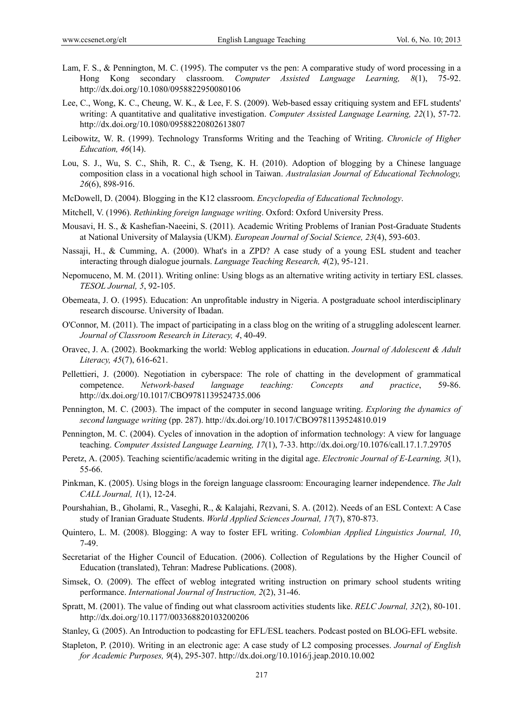- Lam, F. S., & Pennington, M. C. (1995). The computer vs the pen: A comparative study of word processing in a Hong Kong secondary classroom. *Computer Assisted Language Learning, 8*(1), 75-92. http://dx.doi.org/10.1080/0958822950080106
- Lee, C., Wong, K. C., Cheung, W. K., & Lee, F. S. (2009). Web-based essay critiquing system and EFL students' writing: A quantitative and qualitative investigation. *Computer Assisted Language Learning, 22*(1), 57-72. http://dx.doi.org/10.1080/09588220802613807
- Leibowitz, W. R. (1999). Technology Transforms Writing and the Teaching of Writing. *Chronicle of Higher Education, 46*(14).
- Lou, S. J., Wu, S. C., Shih, R. C., & Tseng, K. H. (2010). Adoption of blogging by a Chinese language composition class in a vocational high school in Taiwan. *Australasian Journal of Educational Technology, 26*(6), 898-916.
- McDowell, D. (2004). Blogging in the K12 classroom. *Encyclopedia of Educational Technology*.
- Mitchell, V. (1996). *Rethinking foreign language writing*. Oxford: Oxford University Press.
- Mousavi, H. S., & Kashefian-Naeeini, S. (2011). Academic Writing Problems of Iranian Post-Graduate Students at National University of Malaysia (UKM). *European Journal of Social Science, 23*(4), 593-603.
- Nassaji, H., & Cumming, A. (2000). What's in a ZPD? A case study of a young ESL student and teacher interacting through dialogue journals. *Language Teaching Research, 4*(2), 95-121.
- Nepomuceno, M. M. (2011). Writing online: Using blogs as an alternative writing activity in tertiary ESL classes. *TESOL Journal, 5*, 92-105.
- Obemeata, J. O. (1995). Education: An unprofitable industry in Nigeria. A postgraduate school interdisciplinary research discourse. University of Ibadan.
- O'Connor, M. (2011). The impact of participating in a class blog on the writing of a struggling adolescent learner. *Journal of Classroom Research in Literacy, 4*, 40-49.
- Oravec, J. A. (2002). Bookmarking the world: Weblog applications in education. *Journal of Adolescent & Adult Literacy, 45*(7), 616-621.
- Pellettieri, J. (2000). Negotiation in cyberspace: The role of chatting in the development of grammatical competence. *Network-based language teaching: Concepts and practice*, 59-86. http://dx.doi.org/10.1017/CBO9781139524735.006
- Pennington, M. C. (2003). The impact of the computer in second language writing. *Exploring the dynamics of second language writing* (pp. 287). http://dx.doi.org/10.1017/CBO9781139524810.019
- Pennington, M. C. (2004). Cycles of innovation in the adoption of information technology: A view for language teaching. *Computer Assisted Language Learning, 17*(1), 7-33. http://dx.doi.org/10.1076/call.17.1.7.29705
- Peretz, A. (2005). Teaching scientific/academic writing in the digital age. *Electronic Journal of E-Learning, 3*(1), 55-66.
- Pinkman, K. (2005). Using blogs in the foreign language classroom: Encouraging learner independence. *The Jalt CALL Journal, 1*(1), 12-24.
- Pourshahian, B., Gholami, R., Vaseghi, R., & Kalajahi, Rezvani, S. A. (2012). Needs of an ESL Context: A Case study of Iranian Graduate Students. *World Applied Sciences Journal, 17*(7), 870-873.
- Quintero, L. M. (2008). Blogging: A way to foster EFL writing. *Colombian Applied Linguistics Journal, 10*, 7-49.
- Secretariat of the Higher Council of Education. (2006). Collection of Regulations by the Higher Council of Education (translated), Tehran: Madrese Publications. (2008).
- Simsek, O. (2009). The effect of weblog integrated writing instruction on primary school students writing performance. *International Journal of Instruction, 2*(2), 31-46.
- Spratt, M. (2001). The value of finding out what classroom activities students like. *RELC Journal, 32*(2), 80-101. http://dx.doi.org/10.1177/003368820103200206
- Stanley, G. (2005). An Introduction to podcasting for EFL/ESL teachers. Podcast posted on BLOG-EFL website.
- Stapleton, P. (2010). Writing in an electronic age: A case study of L2 composing processes. *Journal of English for Academic Purposes, 9*(4), 295-307. http://dx.doi.org/10.1016/j.jeap.2010.10.002